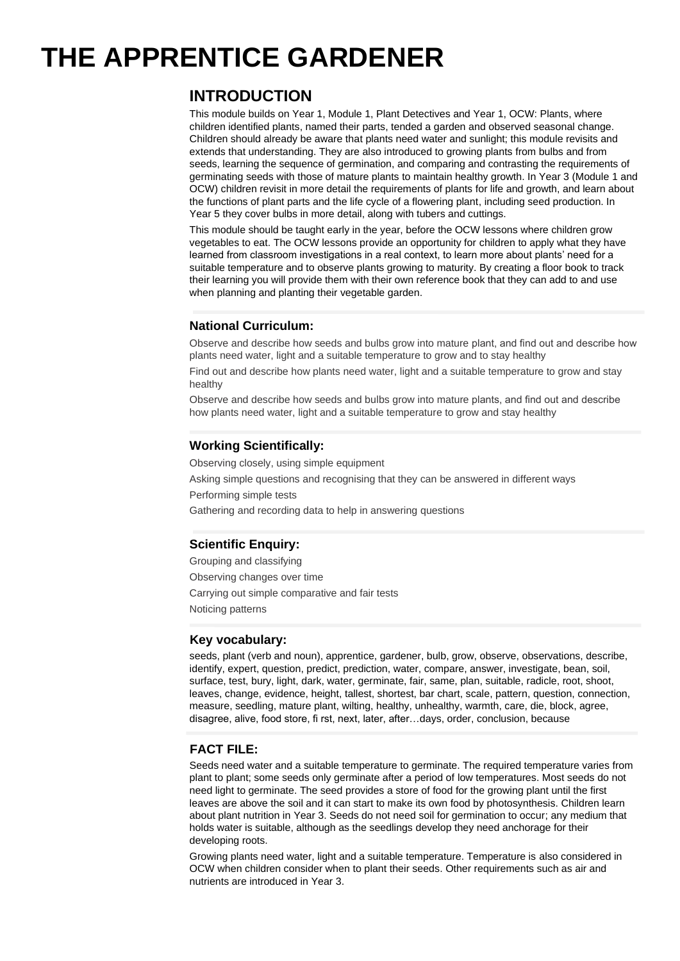# **THE APPRENTICE GARDENER**

## **INTRODUCTION**

This module builds on Year 1, Module 1, Plant Detectives and Year 1, OCW: Plants, where children identified plants, named their parts, tended a garden and observed seasonal change. Children should already be aware that plants need water and sunlight; this module revisits and extends that understanding. They are also introduced to growing plants from bulbs and from seeds, learning the sequence of germination, and comparing and contrasting the requirements of germinating seeds with those of mature plants to maintain healthy growth. In Year 3 (Module 1 and OCW) children revisit in more detail the requirements of plants for life and growth, and learn about the functions of plant parts and the life cycle of a flowering plant, including seed production. In Year 5 they cover bulbs in more detail, along with tubers and cuttings.

This module should be taught early in the year, before the OCW lessons where children grow vegetables to eat. The OCW lessons provide an opportunity for children to apply what they have learned from classroom investigations in a real context, to learn more about plants' need for a suitable temperature and to observe plants growing to maturity. By creating a floor book to track their learning you will provide them with their own reference book that they can add to and use when planning and planting their vegetable garden.

## **National Curriculum:**

Observe and describe how seeds and bulbs grow into mature plant, and find out and describe how plants need water, light and a suitable temperature to grow and to stay healthy

Find out and describe how plants need water, light and a suitable temperature to grow and stay healthy

Observe and describe how seeds and bulbs grow into mature plants, and find out and describe how plants need water, light and a suitable temperature to grow and stay healthy

## **Working Scientifically:**

Observing closely, using simple equipment Asking simple questions and recognising that they can be answered in different ways Performing simple tests Gathering and recording data to help in answering questions

## **Scientific Enquiry:**

Grouping and classifying Observing changes over time Carrying out simple comparative and fair tests Noticing patterns

#### **Key vocabulary:**

seeds, plant (verb and noun), apprentice, gardener, bulb, grow, observe, observations, describe, identify, expert, question, predict, prediction, water, compare, answer, investigate, bean, soil, surface, test, bury, light, dark, water, germinate, fair, same, plan, suitable, radicle, root, shoot, leaves, change, evidence, height, tallest, shortest, bar chart, scale, pattern, question, connection, measure, seedling, mature plant, wilting, healthy, unhealthy, warmth, care, die, block, agree, disagree, alive, food store, fi rst, next, later, after…days, order, conclusion, because

## **FACT FILE:**

Seeds need water and a suitable temperature to germinate. The required temperature varies from plant to plant; some seeds only germinate after a period of low temperatures. Most seeds do not need light to germinate. The seed provides a store of food for the growing plant until the first leaves are above the soil and it can start to make its own food by photosynthesis. Children learn about plant nutrition in Year 3. Seeds do not need soil for germination to occur; any medium that holds water is suitable, although as the seedlings develop they need anchorage for their developing roots.

Growing plants need water, light and a suitable temperature. Temperature is also considered in OCW when children consider when to plant their seeds. Other requirements such as air and nutrients are introduced in Year 3.